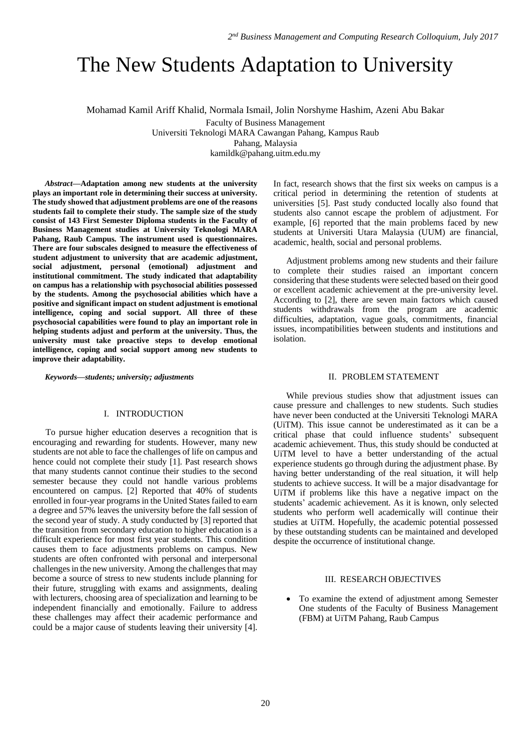# The New Students Adaptation to University

Mohamad Kamil Ariff Khalid, Normala Ismail, Jolin Norshyme Hashim, Azeni Abu Bakar

Faculty of Business Management

Universiti Teknologi MARA Cawangan Pahang, Kampus Raub

Pahang, Malaysia

kamildk@pahang.uitm.edu.my

*Abstract***—Adaptation among new students at the university plays an important role in determining their success at university. The study showed that adjustment problems are one of the reasons students fail to complete their study. The sample size of the study consist of 143 First Semester Diploma students in the Faculty of Business Management studies at University Teknologi MARA Pahang, Raub Campus. The instrument used is questionnaires. There are four subscales designed to measure the effectiveness of student adjustment to university that are academic adjustment, social adjustment, personal (emotional) adjustment and institutional commitment. The study indicated that adaptability on campus has a relationship with psychosocial abilities possessed by the students. Among the psychosocial abilities which have a positive and significant impact on student adjustment is emotional intelligence, coping and social support. All three of these psychosocial capabilities were found to play an important role in helping students adjust and perform at the university. Thus, the university must take proactive steps to develop emotional intelligence, coping and social support among new students to improve their adaptability.** 

*Keywords—students; university; adjustments*

# I. INTRODUCTION

To pursue higher education deserves a recognition that is encouraging and rewarding for students. However, many new students are not able to face the challenges of life on campus and hence could not complete their study [1]. Past research shows that many students cannot continue their studies to the second semester because they could not handle various problems encountered on campus. [2] Reported that 40% of students enrolled in four-year programs in the United States failed to earn a degree and 57% leaves the university before the fall session of the second year of study. A study conducted by [3] reported that the transition from secondary education to higher education is a difficult experience for most first year students. This condition causes them to face adjustments problems on campus. New students are often confronted with personal and interpersonal challenges in the new university. Among the challenges that may become a source of stress to new students include planning for their future, struggling with exams and assignments, dealing with lecturers, choosing area of specialization and learning to be independent financially and emotionally. Failure to address these challenges may affect their academic performance and could be a major cause of students leaving their university [4].

In fact, research shows that the first six weeks on campus is a critical period in determining the retention of students at universities [5]. Past study conducted locally also found that students also cannot escape the problem of adjustment. For example, [6] reported that the main problems faced by new students at Universiti Utara Malaysia (UUM) are financial, academic, health, social and personal problems.

Adjustment problems among new students and their failure to complete their studies raised an important concern considering that these students were selected based on their good or excellent academic achievement at the pre-university level. According to [2], there are seven main factors which caused students withdrawals from the program are academic difficulties, adaptation, vague goals, commitments, financial issues, incompatibilities between students and institutions and isolation.

## II. PROBLEM STATEMENT

While previous studies show that adjustment issues can cause pressure and challenges to new students. Such studies have never been conducted at the Universiti Teknologi MARA (UiTM). This issue cannot be underestimated as it can be a critical phase that could influence students' subsequent academic achievement. Thus, this study should be conducted at UiTM level to have a better understanding of the actual experience students go through during the adjustment phase. By having better understanding of the real situation, it will help students to achieve success. It will be a major disadvantage for UiTM if problems like this have a negative impact on the students' academic achievement. As it is known, only selected students who perform well academically will continue their studies at UiTM. Hopefully, the academic potential possessed by these outstanding students can be maintained and developed despite the occurrence of institutional change.

#### III. RESEARCH OBJECTIVES

 To examine the extend of adjustment among Semester One students of the Faculty of Business Management (FBM) at UiTM Pahang, Raub Campus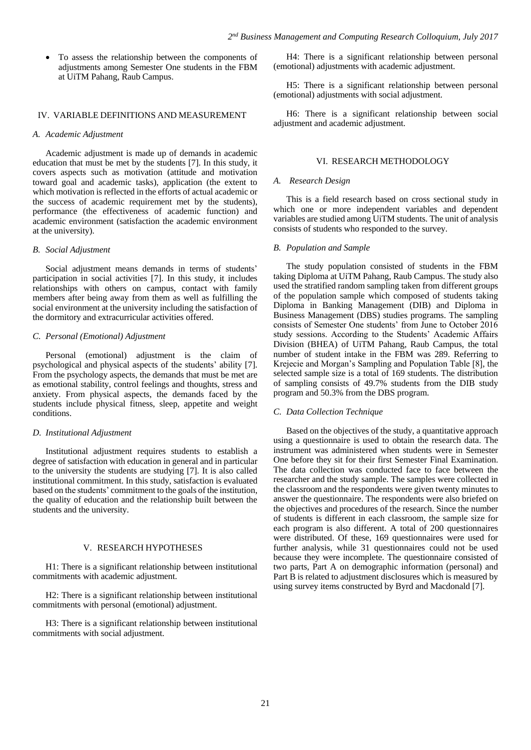To assess the relationship between the components of adjustments among Semester One students in the FBM at UiTM Pahang, Raub Campus.

## IV. VARIABLE DEFINITIONS AND MEASUREMENT

## *A. Academic Adjustment*

Academic adjustment is made up of demands in academic education that must be met by the students [7]. In this study, it covers aspects such as motivation (attitude and motivation toward goal and academic tasks), application (the extent to which motivation is reflected in the efforts of actual academic or the success of academic requirement met by the students), performance (the effectiveness of academic function) and academic environment (satisfaction the academic environment at the university).

#### *B. Social Adjustment*

Social adjustment means demands in terms of students' participation in social activities [7]. In this study, it includes relationships with others on campus, contact with family members after being away from them as well as fulfilling the social environment at the university including the satisfaction of the dormitory and extracurricular activities offered.

#### *C. Personal (Emotional) Adjustment*

Personal (emotional) adjustment is the claim of psychological and physical aspects of the students' ability [7]. From the psychology aspects, the demands that must be met are as emotional stability, control feelings and thoughts, stress and anxiety. From physical aspects, the demands faced by the students include physical fitness, sleep, appetite and weight conditions.

## *D. Institutional Adjustment*

Institutional adjustment requires students to establish a degree of satisfaction with education in general and in particular to the university the students are studying [7]. It is also called institutional commitment. In this study, satisfaction is evaluated based on the students' commitment to the goals of the institution, the quality of education and the relationship built between the students and the university.

#### V. RESEARCH HYPOTHESES

H1: There is a significant relationship between institutional commitments with academic adjustment.

H2: There is a significant relationship between institutional commitments with personal (emotional) adjustment.

H3: There is a significant relationship between institutional commitments with social adjustment.

H4: There is a significant relationship between personal (emotional) adjustments with academic adjustment.

H5: There is a significant relationship between personal (emotional) adjustments with social adjustment.

H6: There is a significant relationship between social adjustment and academic adjustment.

## VI. RESEARCH METHODOLOGY

#### *A. Research Design*

This is a field research based on cross sectional study in which one or more independent variables and dependent variables are studied among UiTM students. The unit of analysis consists of students who responded to the survey.

#### *B. Population and Sample*

The study population consisted of students in the FBM taking Diploma at UiTM Pahang, Raub Campus. The study also used the stratified random sampling taken from different groups of the population sample which composed of students taking Diploma in Banking Management (DIB) and Diploma in Business Management (DBS) studies programs. The sampling consists of Semester One students' from June to October 2016 study sessions. According to the Students' Academic Affairs Division (BHEA) of UiTM Pahang, Raub Campus, the total number of student intake in the FBM was 289. Referring to Krejecie and Morgan's Sampling and Population Table [8], the selected sample size is a total of 169 students. The distribution of sampling consists of 49.7% students from the DIB study program and 50.3% from the DBS program.

#### *C. Data Collection Technique*

Based on the objectives of the study, a quantitative approach using a questionnaire is used to obtain the research data. The instrument was administered when students were in Semester One before they sit for their first Semester Final Examination. The data collection was conducted face to face between the researcher and the study sample. The samples were collected in the classroom and the respondents were given twenty minutes to answer the questionnaire. The respondents were also briefed on the objectives and procedures of the research. Since the number of students is different in each classroom, the sample size for each program is also different. A total of 200 questionnaires were distributed. Of these, 169 questionnaires were used for further analysis, while 31 questionnaires could not be used because they were incomplete. The questionnaire consisted of two parts, Part A on demographic information (personal) and Part B is related to adjustment disclosures which is measured by using survey items constructed by Byrd and Macdonald [7].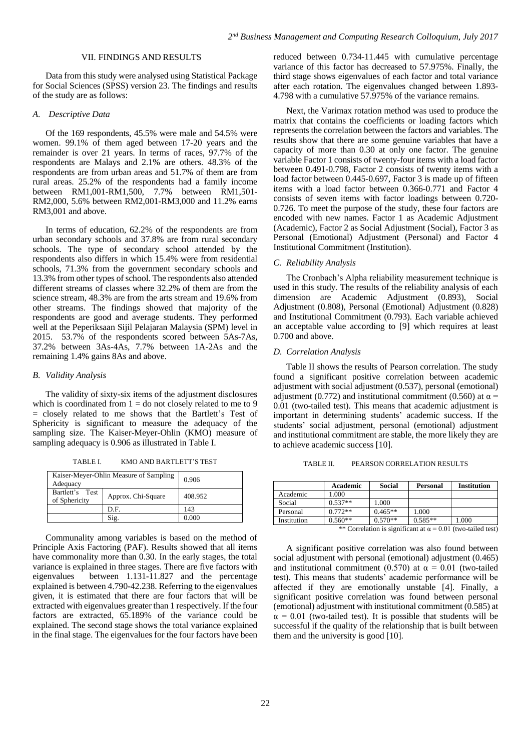## VII. FINDINGS AND RESULTS

Data from this study were analysed using Statistical Package for Social Sciences (SPSS) version 23. The findings and results of the study are as follows:

## *A. Descriptive Data*

Of the 169 respondents, 45.5% were male and 54.5% were women. 99.1% of them aged between 17-20 years and the remainder is over 21 years. In terms of races, 97.7% of the respondents are Malays and 2.1% are others. 48.3% of the respondents are from urban areas and 51.7% of them are from rural areas. 25.2% of the respondents had a family income between RM1,001-RM1,500, 7.7% between RM1,501- RM2,000, 5.6% between RM2,001-RM3,000 and 11.2% earns RM3,001 and above.

In terms of education, 62.2% of the respondents are from urban secondary schools and 37.8% are from rural secondary schools. The type of secondary school attended by the respondents also differs in which 15.4% were from residential schools, 71.3% from the government secondary schools and 13.3% from other types of school. The respondents also attended different streams of classes where 32.2% of them are from the science stream, 48.3% are from the arts stream and 19.6% from other streams. The findings showed that majority of the respondents are good and average students. They performed well at the Peperiksaan Sijil Pelajaran Malaysia (SPM) level in 2015. 53.7% of the respondents scored between 5As-7As, 37.2% between 3As-4As, 7.7% between 1A-2As and the remaining 1.4% gains 8As and above.

# *B. Validity Analysis*

The validity of sixty-six items of the adjustment disclosures which is coordinated from  $1 =$  do not closely related to me to 9 = closely related to me shows that the Bartlett's Test of Sphericity is significant to measure the adequacy of the sampling size. The Kaiser-Meyer-Ohlin (KMO) measure of sampling adequacy is 0.906 as illustrated in Table I.

| Kaiser-Meyer-Ohlin Measure of Sampling<br>Adequacy |                    | 0.906   |
|----------------------------------------------------|--------------------|---------|
| Bartlett's Test<br>of Sphericity                   | Approx. Chi-Square | 408.952 |
|                                                    | D.F.               | 143     |
|                                                    | Sig.               | 0.000   |

TABLE I. KMO AND BARTLETT'S TEST

Communality among variables is based on the method of Principle Axis Factoring (PAF). Results showed that all items have commonality more than 0.30. In the early stages, the total variance is explained in three stages. There are five factors with eigenvalues between 1.131-11.827 and the percentage explained is between 4.790-42.238. Referring to the eigenvalues given, it is estimated that there are four factors that will be extracted with eigenvalues greater than 1 respectively. If the four factors are extracted, 65.189% of the variance could be explained. The second stage shows the total variance explained in the final stage. The eigenvalues for the four factors have been

reduced between 0.734-11.445 with cumulative percentage variance of this factor has decreased to 57.975%. Finally, the third stage shows eigenvalues of each factor and total variance after each rotation. The eigenvalues changed between 1.893- 4.798 with a cumulative 57.975% of the variance remains.

Next, the Varimax rotation method was used to produce the matrix that contains the coefficients or loading factors which represents the correlation between the factors and variables. The results show that there are some genuine variables that have a capacity of more than 0.30 at only one factor. The genuine variable Factor 1 consists of twenty-four items with a load factor between 0.491-0.798, Factor 2 consists of twenty items with a load factor between 0.445-0.697, Factor 3 is made up of fifteen items with a load factor between 0.366-0.771 and Factor 4 consists of seven items with factor loadings between 0.720- 0.726. To meet the purpose of the study, these four factors are encoded with new names. Factor 1 as Academic Adjustment (Academic), Factor 2 as Social Adjustment (Social), Factor 3 as Personal (Emotional) Adjustment (Personal) and Factor 4 Institutional Commitment (Institution).

#### *C. Reliability Analysis*

The Cronbach's Alpha reliability measurement technique is used in this study. The results of the reliability analysis of each dimension are Academic Adjustment (0.893), Social Adjustment (0.808), Personal (Emotional) Adjustment (0.828) and Institutional Commitment (0.793). Each variable achieved an acceptable value according to [9] which requires at least 0.700 and above.

#### *D. Correlation Analysis*

Table II shows the results of Pearson correlation. The study found a significant positive correlation between academic adjustment with social adjustment (0.537), personal (emotional) adjustment (0.772) and institutional commitment (0.560) at  $\alpha$  = 0.01 (two-tailed test). This means that academic adjustment is important in determining students' academic success. If the students' social adjustment, personal (emotional) adjustment and institutional commitment are stable, the more likely they are to achieve academic success [10].

TABLE II. PEARSON CORRELATION RESULTS

|             | Academic  | <b>Social</b> | Personal  | <b>Institution</b> |
|-------------|-----------|---------------|-----------|--------------------|
| Academic    | 1.000     |               |           |                    |
| Social      | $0.537**$ | 1.000         |           |                    |
| Personal    | $0.772**$ | $0.465**$     | 1.000     |                    |
| Institution | $0.560**$ | $0.570**$     | $0.585**$ | 1.000              |

\*\* Correlation is significant at  $\alpha$  = 0.01 (two-tailed test)

A significant positive correlation was also found between social adjustment with personal (emotional) adjustment (0.465) and institutional commitment (0.570) at  $\alpha = 0.01$  (two-tailed test). This means that students' academic performance will be affected if they are emotionally unstable [4]. Finally, a significant positive correlation was found between personal (emotional) adjustment with institutional commitment (0.585) at  $\alpha = 0.01$  (two-tailed test). It is possible that students will be successful if the quality of the relationship that is built between them and the university is good [10].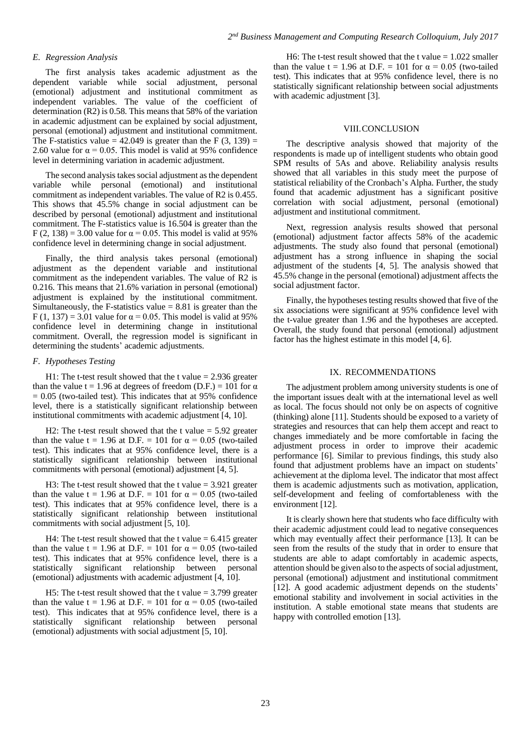# *E. Regression Analysis*

The first analysis takes academic adjustment as the dependent variable while social adjustment, personal (emotional) adjustment and institutional commitment as independent variables. The value of the coefficient of determination (R2) is 0.58. This means that 58% of the variation in academic adjustment can be explained by social adjustment, personal (emotional) adjustment and institutional commitment. The F-statistics value =  $42.049$  is greater than the F (3, 139) = 2.60 value for  $\alpha$  = 0.05. This model is valid at 95% confidence level in determining variation in academic adjustment.

The second analysis takes social adjustment as the dependent variable while personal (emotional) and institutional commitment as independent variables. The value of R2 is 0.455. This shows that 45.5% change in social adjustment can be described by personal (emotional) adjustment and institutional commitment. The F-statistics value is 16.504 is greater than the F (2, 138) = 3.00 value for  $\alpha$  = 0.05. This model is valid at 95% confidence level in determining change in social adjustment.

Finally, the third analysis takes personal (emotional) adjustment as the dependent variable and institutional commitment as the independent variables. The value of R2 is 0.216. This means that 21.6% variation in personal (emotional) adjustment is explained by the institutional commitment. Simultaneously, the F-statistics value  $= 8.81$  is greater than the F (1, 137) = 3.01 value for  $\alpha$  = 0.05. This model is valid at 95% confidence level in determining change in institutional commitment. Overall, the regression model is significant in determining the students' academic adjustments.

#### *F. Hypotheses Testing*

H1: The t-test result showed that the t value  $= 2.936$  greater than the value t = 1.96 at degrees of freedom (D.F.) = 101 for  $\alpha$  $= 0.05$  (two-tailed test). This indicates that at 95% confidence level, there is a statistically significant relationship between institutional commitments with academic adjustment [4, 10].

H2: The t-test result showed that the t value  $= 5.92$  greater than the value t = 1.96 at D.F. = 101 for  $\alpha = 0.05$  (two-tailed test). This indicates that at 95% confidence level, there is a statistically significant relationship between institutional commitments with personal (emotional) adjustment [4, 5].

H3: The t-test result showed that the t value = 3.921 greater than the value t = 1.96 at D.F. = 101 for  $\alpha$  = 0.05 (two-tailed test). This indicates that at 95% confidence level, there is a statistically significant relationship between institutional commitments with social adjustment [5, 10].

H4: The t-test result showed that the t value  $= 6.415$  greater than the value t = 1.96 at D.F. = 101 for  $\alpha = 0.05$  (two-tailed test). This indicates that at 95% confidence level, there is a statistically significant relationship between personal (emotional) adjustments with academic adjustment [4, 10].

H5: The t-test result showed that the t value  $= 3.799$  greater than the value t = 1.96 at D.F. = 101 for  $\alpha$  = 0.05 (two-tailed test). This indicates that at 95% confidence level, there is a statistically significant relationship between personal (emotional) adjustments with social adjustment [5, 10].

H6: The t-test result showed that the t value  $= 1.022$  smaller than the value t = 1.96 at D.F. = 101 for  $\alpha$  = 0.05 (two-tailed test). This indicates that at 95% confidence level, there is no statistically significant relationship between social adjustments with academic adjustment [3].

## VIII.CONCLUSION

The descriptive analysis showed that majority of the respondents is made up of intelligent students who obtain good SPM results of 5As and above. Reliability analysis results showed that all variables in this study meet the purpose of statistical reliability of the Cronbach's Alpha. Further, the study found that academic adjustment has a significant positive correlation with social adjustment, personal (emotional) adjustment and institutional commitment.

Next, regression analysis results showed that personal (emotional) adjustment factor affects 58% of the academic adjustments. The study also found that personal (emotional) adjustment has a strong influence in shaping the social adjustment of the students [4, 5]. The analysis showed that 45.5% change in the personal (emotional) adjustment affects the social adjustment factor.

Finally, the hypotheses testing results showed that five of the six associations were significant at 95% confidence level with the t-value greater than 1.96 and the hypotheses are accepted. Overall, the study found that personal (emotional) adjustment factor has the highest estimate in this model [4, 6].

### IX. RECOMMENDATIONS

The adjustment problem among university students is one of the important issues dealt with at the international level as well as local. The focus should not only be on aspects of cognitive (thinking) alone [11]. Students should be exposed to a variety of strategies and resources that can help them accept and react to changes immediately and be more comfortable in facing the adjustment process in order to improve their academic performance [6]. Similar to previous findings, this study also found that adjustment problems have an impact on students' achievement at the diploma level. The indicator that most affect them is academic adjustments such as motivation, application, self-development and feeling of comfortableness with the environment [12].

It is clearly shown here that students who face difficulty with their academic adjustment could lead to negative consequences which may eventually affect their performance [13]. It can be seen from the results of the study that in order to ensure that students are able to adapt comfortably in academic aspects, attention should be given also to the aspects of social adjustment, personal (emotional) adjustment and institutional commitment [12]. A good academic adjustment depends on the students' emotional stability and involvement in social activities in the institution. A stable emotional state means that students are happy with controlled emotion [13].